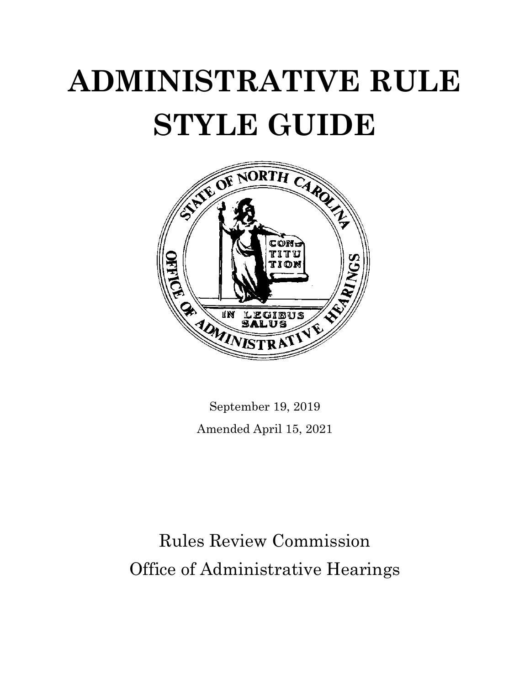# **ADMINISTRATIVE RULE STYLE GUIDE**



September 19, 2019 Amended April 15, 2021

Rules Review Commission Office of Administrative Hearings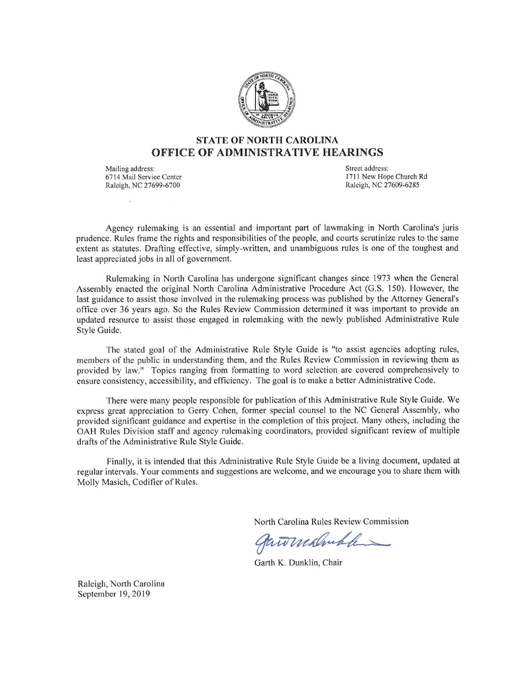

# **STATE OF NORTH CAROLINA OFFICE OF ADMINISTRATIVE HEARINGS**

Mailing address: 6714 Mail Service Center Raleigh, NC 27699-6700

Street address: 1711 New Hope Church Rd Raleigh, NC 27609-6285

Agency rulemaking is an essential and important part of lawmaking in North Carolina's juris prudence. Rules frame the rights and responsibilities of the people, and courts scrutinize rules to the same extent as statutes. Drafting effective, simply-written, and unambiguous rules is one of the toughest and least appreciated jobs in all of government.

Rulemaking in North Carolina has undergone significant changes since 1973 when the General Assembly enacted the original North Carolina Administrative Procedure Act (G.S. 150). However, the last guidance to assist those involved in the rulemaking process was published by the Attorney General's office over 36 years ago. So the Rules Review Commission determined it was important to provide an updated resource to assist those engaged in rulemaking with the newly published Administrative Rule Style Guide.

The stated goal of the Administrative Rule Style Guide is "to assist agencies adopting rules, members of the public in understanding them, and the Rules Review Commission in reviewing them as provided by law." Topics ranging from formatting to word selection are covered comprehensively to ensure consistency, accessibility, and efficiency. The goal is to make a better Administrative Code.

There were many people responsible for publication of this Administrative Rule Style Guide. We express great appreciation to Gerry Cohen, former special counsel to the NC General Assembly, who provided significant guidance and expertise in the completion of this project. Many others, including the OAH Rules Division staff and agency rulemaking coordinators, provided significant review of multiple drafts of the Administrative Rule Style Guide.

Finally, it is intended that this Administrative Rule Style Guide be a living document, updated at regular intervals. Your comments and suggestions are welcome, and we encourage you to share them with Molly Masich, Codifier of Rules.

North Carolina Rules Review Commission

gannishuble

Garth K. Dunklin, Chair

Raleigh, North Carolina September 19, 2019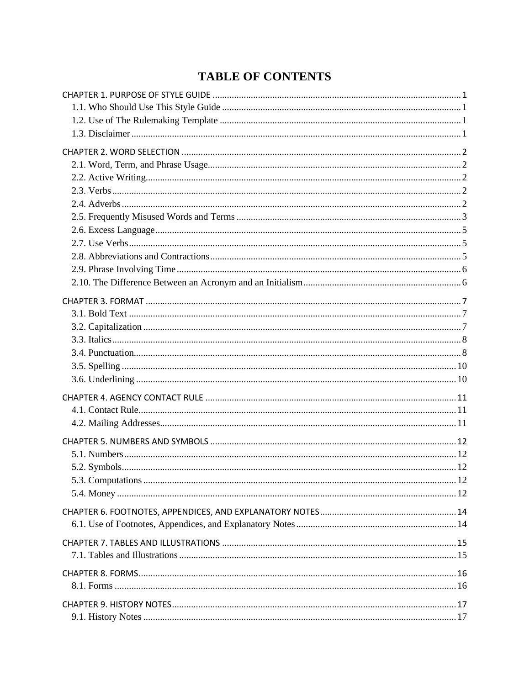# **TABLE OF CONTENTS**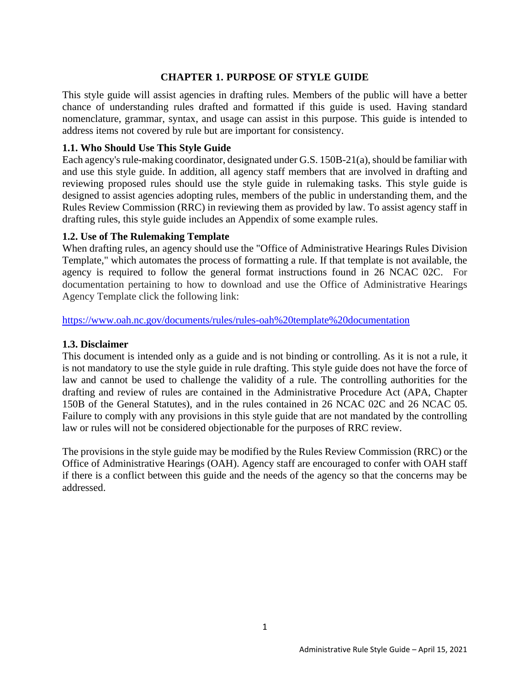# **CHAPTER 1. PURPOSE OF STYLE GUIDE**

<span id="page-6-0"></span>This style guide will assist agencies in drafting rules. Members of the public will have a better chance of understanding rules drafted and formatted if this guide is used. Having standard nomenclature, grammar, syntax, and usage can assist in this purpose. This guide is intended to address items not covered by rule but are important for consistency.

#### <span id="page-6-1"></span>**1.1. Who Should Use This Style Guide**

Each agency's rule-making coordinator, designated under G.S. 150B-21(a), should be familiar with and use this style guide. In addition, all agency staff members that are involved in drafting and reviewing proposed rules should use the style guide in rulemaking tasks. This style guide is designed to assist agencies adopting rules, members of the public in understanding them, and the Rules Review Commission (RRC) in reviewing them as provided by law. To assist agency staff in drafting rules, this style guide includes an Appendix of some example rules.

# <span id="page-6-2"></span>**1.2. Use of The Rulemaking Template**

When drafting rules, an agency should use the "Office of Administrative Hearings Rules Division Template," which automates the process of formatting a rule. If that template is not available, the agency is required to follow the general format instructions found in 26 NCAC 02C. For documentation pertaining to how to download and use the Office of Administrative Hearings Agency Template click the following link:

<https://www.oah.nc.gov/documents/rules/rules-oah%20template%20documentation>

#### <span id="page-6-3"></span>**1.3. Disclaimer**

This document is intended only as a guide and is not binding or controlling. As it is not a rule, it is not mandatory to use the style guide in rule drafting. This style guide does not have the force of law and cannot be used to challenge the validity of a rule. The controlling authorities for the drafting and review of rules are contained in the Administrative Procedure Act (APA, Chapter 150B of the General Statutes), and in the rules contained in 26 NCAC 02C and 26 NCAC 05. Failure to comply with any provisions in this style guide that are not mandated by the controlling law or rules will not be considered objectionable for the purposes of RRC review.

The provisions in the style guide may be modified by the Rules Review Commission (RRC) or the Office of Administrative Hearings (OAH). Agency staff are encouraged to confer with OAH staff if there is a conflict between this guide and the needs of the agency so that the concerns may be addressed.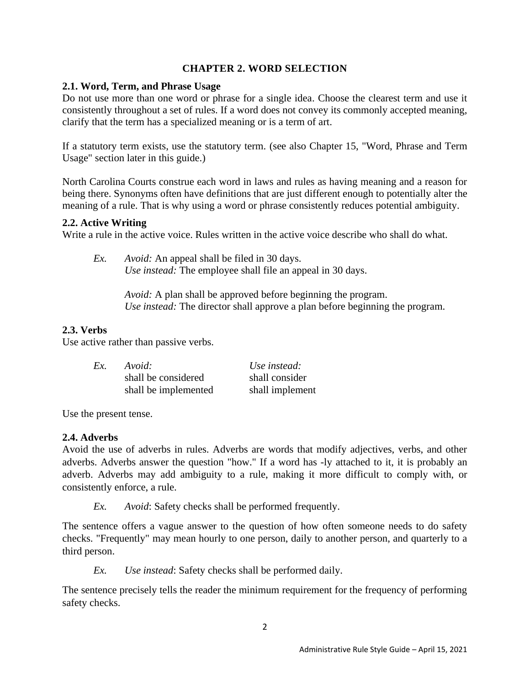# **CHAPTER 2. WORD SELECTION**

## <span id="page-7-1"></span><span id="page-7-0"></span>**2.1. Word, Term, and Phrase Usage**

Do not use more than one word or phrase for a single idea. Choose the clearest term and use it consistently throughout a set of rules. If a word does not convey its commonly accepted meaning, clarify that the term has a specialized meaning or is a term of art.

If a statutory term exists, use the statutory term. (see also Chapter 15, "Word, Phrase and Term Usage" section later in this guide.)

North Carolina Courts construe each word in laws and rules as having meaning and a reason for being there. Synonyms often have definitions that are just different enough to potentially alter the meaning of a rule. That is why using a word or phrase consistently reduces potential ambiguity.

#### <span id="page-7-2"></span>**2.2. Active Writing**

Write a rule in the active voice. Rules written in the active voice describe who shall do what.

*Ex. Avoid:* An appeal shall be filed in 30 days. *Use instead:* The employee shall file an appeal in 30 days.

> *Avoid:* A plan shall be approved before beginning the program. *Use instead:* The director shall approve a plan before beginning the program.

#### <span id="page-7-3"></span>**2.3. Verbs**

Use active rather than passive verbs.

| Ex. | Avoid:               | Use instead:    |
|-----|----------------------|-----------------|
|     | shall be considered  | shall consider  |
|     | shall be implemented | shall implement |

Use the present tense.

#### <span id="page-7-4"></span>**2.4. Adverbs**

Avoid the use of adverbs in rules. Adverbs are words that modify adjectives, verbs, and other adverbs. Adverbs answer the question "how." If a word has -ly attached to it, it is probably an adverb. Adverbs may add ambiguity to a rule, making it more difficult to comply with, or consistently enforce, a rule.

*Ex. Avoid*: Safety checks shall be performed frequently.

The sentence offers a vague answer to the question of how often someone needs to do safety checks. "Frequently" may mean hourly to one person, daily to another person, and quarterly to a third person.

*Ex. Use instead*: Safety checks shall be performed daily.

The sentence precisely tells the reader the minimum requirement for the frequency of performing safety checks.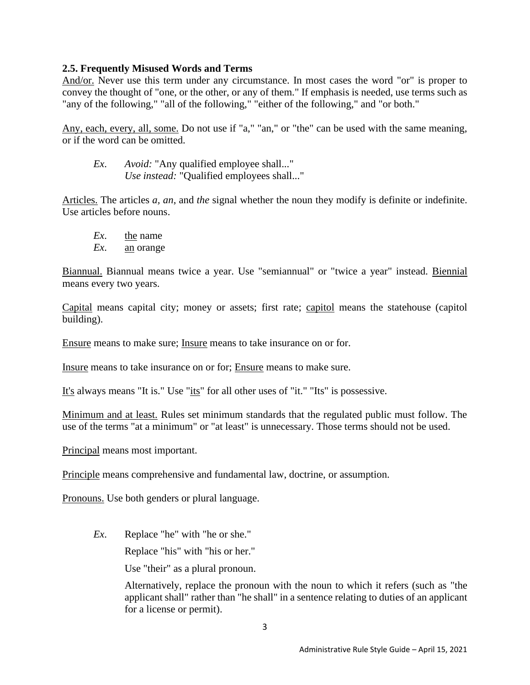#### <span id="page-8-0"></span>**2.5. Frequently Misused Words and Terms**

And/or. Never use this term under any circumstance. In most cases the word "or" is proper to convey the thought of "one, or the other, or any of them." If emphasis is needed, use terms such as "any of the following," "all of the following," "either of the following," and "or both."

Any, each, every, all, some. Do not use if "a," "an," or "the" can be used with the same meaning, or if the word can be omitted.

*Ex*. *Avoid:* "Any qualified employee shall..." *Use instead:* "Qualified employees shall..."

Articles. The articles *a, an*, and *the* signal whether the noun they modify is definite or indefinite. Use articles before nouns.

- *Ex*. the name
- *Ex*. an orange

Biannual. Biannual means twice a year. Use "semiannual" or "twice a year" instead. Biennial means every two years.

Capital means capital city; money or assets; first rate; capitol means the statehouse (capitol building).

Ensure means to make sure; Insure means to take insurance on or for.

Insure means to take insurance on or for; Ensure means to make sure.

It's always means "It is." Use "its" for all other uses of "it." "Its" is possessive.

Minimum and at least. Rules set minimum standards that the regulated public must follow. The use of the terms "at a minimum" or "at least" is unnecessary. Those terms should not be used.

Principal means most important.

Principle means comprehensive and fundamental law, doctrine, or assumption.

Pronouns. Use both genders or plural language.

*Ex*. Replace "he" with "he or she."

Replace "his" with "his or her."

Use "their" as a plural pronoun.

Alternatively, replace the pronoun with the noun to which it refers (such as "the applicant shall" rather than "he shall" in a sentence relating to duties of an applicant for a license or permit).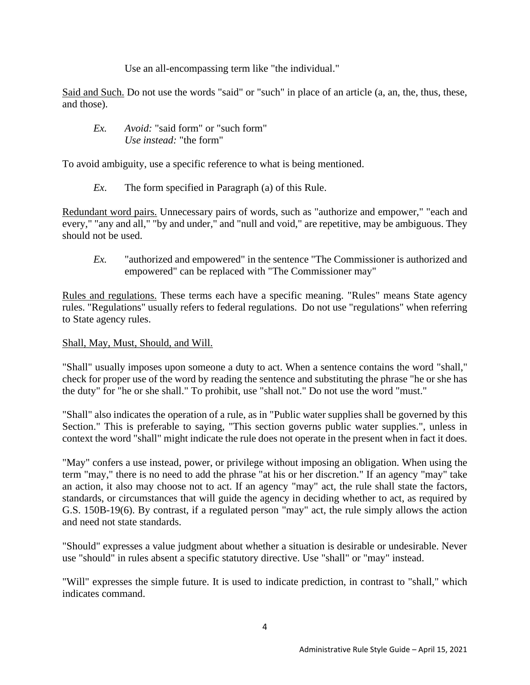Use an all-encompassing term like "the individual."

Said and Such. Do not use the words "said" or "such" in place of an article (a, an, the, thus, these, and those).

*Ex. Avoid:* "said form" or "such form" *Use instead:* "the form"

To avoid ambiguity, use a specific reference to what is being mentioned.

*Ex*. The form specified in Paragraph (a) of this Rule.

Redundant word pairs. Unnecessary pairs of words, such as "authorize and empower," "each and every," "any and all," "by and under," and "null and void," are repetitive, may be ambiguous. They should not be used.

*Ex.* "authorized and empowered" in the sentence "The Commissioner is authorized and empowered" can be replaced with "The Commissioner may"

Rules and regulations. These terms each have a specific meaning. "Rules" means State agency rules. "Regulations" usually refers to federal regulations. Do not use "regulations" when referring to State agency rules.

#### Shall, May, Must, Should, and Will.

"Shall" usually imposes upon someone a duty to act. When a sentence contains the word "shall," check for proper use of the word by reading the sentence and substituting the phrase "he or she has the duty" for "he or she shall." To prohibit, use "shall not." Do not use the word "must."

"Shall" also indicates the operation of a rule, as in "Public water supplies shall be governed by this Section." This is preferable to saying, "This section governs public water supplies.", unless in context the word "shall" might indicate the rule does not operate in the present when in fact it does.

"May" confers a use instead, power, or privilege without imposing an obligation. When using the term "may," there is no need to add the phrase "at his or her discretion." If an agency "may" take an action, it also may choose not to act. If an agency "may" act, the rule shall state the factors, standards, or circumstances that will guide the agency in deciding whether to act, as required by G.S. 150B-19(6). By contrast, if a regulated person "may" act, the rule simply allows the action and need not state standards.

"Should" expresses a value judgment about whether a situation is desirable or undesirable. Never use "should" in rules absent a specific statutory directive. Use "shall" or "may" instead.

"Will" expresses the simple future. It is used to indicate prediction, in contrast to "shall," which indicates command.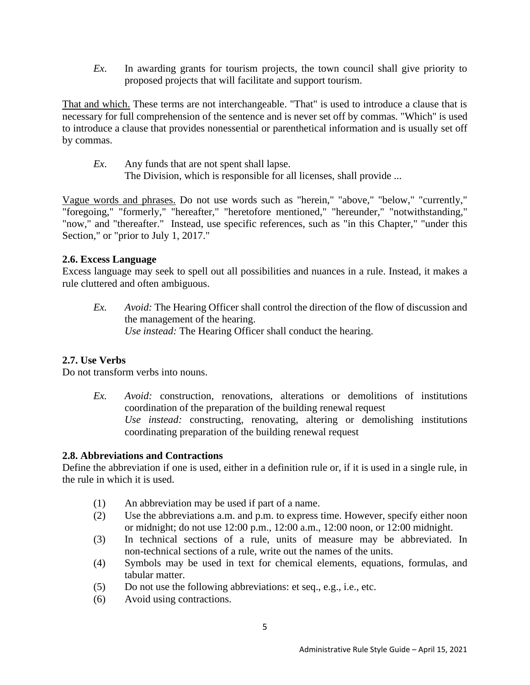*Ex*. In awarding grants for tourism projects, the town council shall give priority to proposed projects that will facilitate and support tourism.

That and which. These terms are not interchangeable. "That" is used to introduce a clause that is necessary for full comprehension of the sentence and is never set off by commas. "Which" is used to introduce a clause that provides nonessential or parenthetical information and is usually set off by commas.

- *Ex*. Any funds that are not spent shall lapse.
	- The Division, which is responsible for all licenses, shall provide ...

Vague words and phrases. Do not use words such as "herein," "above," "below," "currently," "foregoing," "formerly," "hereafter," "heretofore mentioned," "hereunder," "notwithstanding," "now," and "thereafter." Instead, use specific references, such as "in this Chapter," "under this Section," or "prior to July 1, 2017."

#### <span id="page-10-0"></span>**2.6. Excess Language**

Excess language may seek to spell out all possibilities and nuances in a rule. Instead, it makes a rule cluttered and often ambiguous.

*Ex. Avoid:* The Hearing Officer shall control the direction of the flow of discussion and the management of the hearing. *Use instead:* The Hearing Officer shall conduct the hearing.

#### <span id="page-10-1"></span>**2.7. Use Verbs**

Do not transform verbs into nouns.

*Ex. Avoid:* construction, renovations, alterations or demolitions of institutions coordination of the preparation of the building renewal request *Use instead:* constructing, renovating, altering or demolishing institutions coordinating preparation of the building renewal request

#### <span id="page-10-2"></span>**2.8. Abbreviations and Contractions**

Define the abbreviation if one is used, either in a definition rule or, if it is used in a single rule, in the rule in which it is used.

- (1) An abbreviation may be used if part of a name.
- (2) Use the abbreviations a.m. and p.m. to express time. However, specify either noon or midnight; do not use 12:00 p.m., 12:00 a.m., 12:00 noon, or 12:00 midnight.
- (3) In technical sections of a rule, units of measure may be abbreviated. In non-technical sections of a rule, write out the names of the units.
- (4) Symbols may be used in text for chemical elements, equations, formulas, and tabular matter.
- (5) Do not use the following abbreviations: et seq., e.g., i.e., etc.
- (6) Avoid using contractions.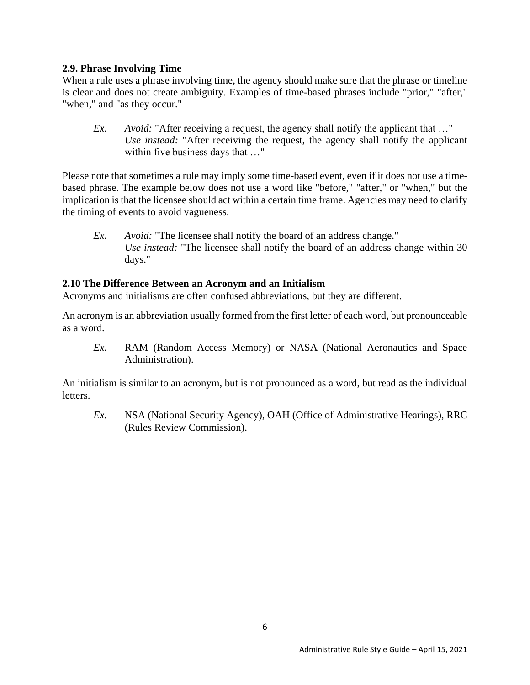#### <span id="page-11-0"></span>**2.9. Phrase Involving Time**

When a rule uses a phrase involving time, the agency should make sure that the phrase or timeline is clear and does not create ambiguity. Examples of time-based phrases include "prior," "after," "when," and "as they occur."

*Ex. Avoid:* "After receiving a request, the agency shall notify the applicant that ..." *Use instead:* "After receiving the request, the agency shall notify the applicant within five business days that …"

Please note that sometimes a rule may imply some time-based event, even if it does not use a timebased phrase. The example below does not use a word like "before," "after," or "when," but the implication is that the licensee should act within a certain time frame. Agencies may need to clarify the timing of events to avoid vagueness.

*Ex. Avoid:* "The licensee shall notify the board of an address change." *Use instead:* "The licensee shall notify the board of an address change within 30 days."

#### <span id="page-11-1"></span>**2.10 The Difference Between an Acronym and an Initialism**

Acronyms and initialisms are often confused abbreviations, but they are different.

An acronym is an abbreviation usually formed from the first letter of each word, but pronounceable as a word.

*Ex.* RAM (Random Access Memory) or NASA (National Aeronautics and Space Administration).

An initialism is similar to an acronym, but is not pronounced as a word, but read as the individual letters.

*Ex.* NSA (National Security Agency), OAH (Office of Administrative Hearings), RRC (Rules Review Commission).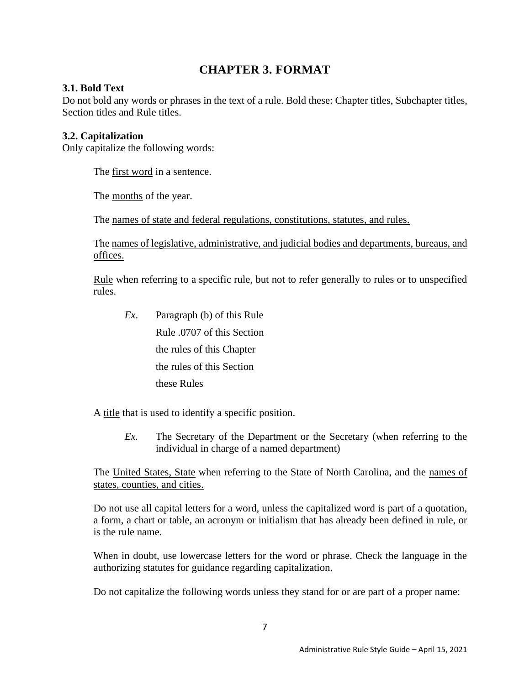# **CHAPTER 3. FORMAT**

# <span id="page-12-1"></span><span id="page-12-0"></span>**3.1. Bold Text**

Do not bold any words or phrases in the text of a rule. Bold these: Chapter titles, Subchapter titles, Section titles and Rule titles.

# <span id="page-12-2"></span>**3.2. Capitalization**

Only capitalize the following words:

The first word in a sentence.

The months of the year.

The names of state and federal regulations, constitutions, statutes, and rules.

The names of legislative, administrative, and judicial bodies and departments, bureaus, and offices.

Rule when referring to a specific rule, but not to refer generally to rules or to unspecified rules.

*Ex*. Paragraph (b) of this Rule Rule .0707 of this Section the rules of this Chapter the rules of this Section these Rules

A title that is used to identify a specific position.

*Ex.* The Secretary of the Department or the Secretary (when referring to the individual in charge of a named department)

The United States, State when referring to the State of North Carolina, and the names of states, counties, and cities.

Do not use all capital letters for a word, unless the capitalized word is part of a quotation, a form, a chart or table, an acronym or initialism that has already been defined in rule, or is the rule name.

When in doubt, use lowercase letters for the word or phrase. Check the language in the authorizing statutes for guidance regarding capitalization.

Do not capitalize the following words unless they stand for or are part of a proper name: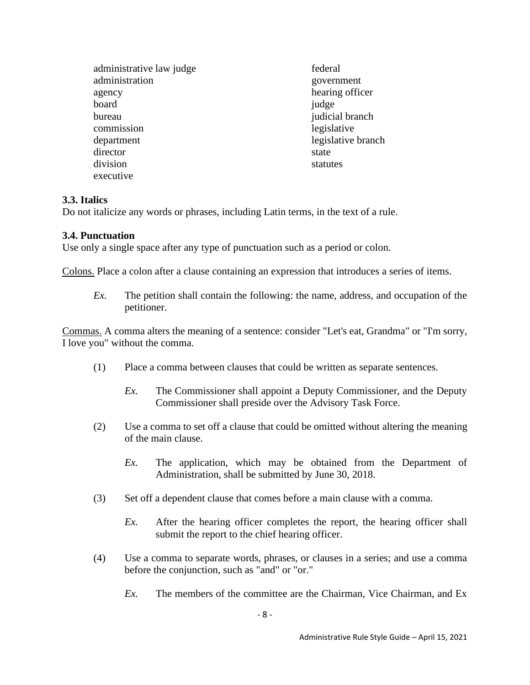administrative law judge administration agency board bureau commission department director division executive

federal government hearing officer judge judicial branch legislative legislative branch state statutes

# <span id="page-13-0"></span>**3.3. Italics**

Do not italicize any words or phrases, including Latin terms, in the text of a rule.

#### <span id="page-13-1"></span>**3.4. Punctuation**

Use only a single space after any type of punctuation such as a period or colon.

Colons. Place a colon after a clause containing an expression that introduces a series of items.

*Ex.* The petition shall contain the following: the name, address, and occupation of the petitioner.

Commas. A comma alters the meaning of a sentence: consider "Let's eat, Grandma" or "I'm sorry, I love you" without the comma.

- (1) Place a comma between clauses that could be written as separate sentences.
	- *Ex.* The Commissioner shall appoint a Deputy Commissioner, and the Deputy Commissioner shall preside over the Advisory Task Force.
- (2) Use a comma to set off a clause that could be omitted without altering the meaning of the main clause.
	- *Ex.* The application, which may be obtained from the Department of Administration, shall be submitted by June 30, 2018.
- (3) Set off a dependent clause that comes before a main clause with a comma.
	- *Ex.* After the hearing officer completes the report, the hearing officer shall submit the report to the chief hearing officer.
- (4) Use a comma to separate words, phrases, or clauses in a series; and use a comma before the conjunction, such as "and" or "or."
	- *Ex.* The members of the committee are the Chairman, Vice Chairman, and Ex.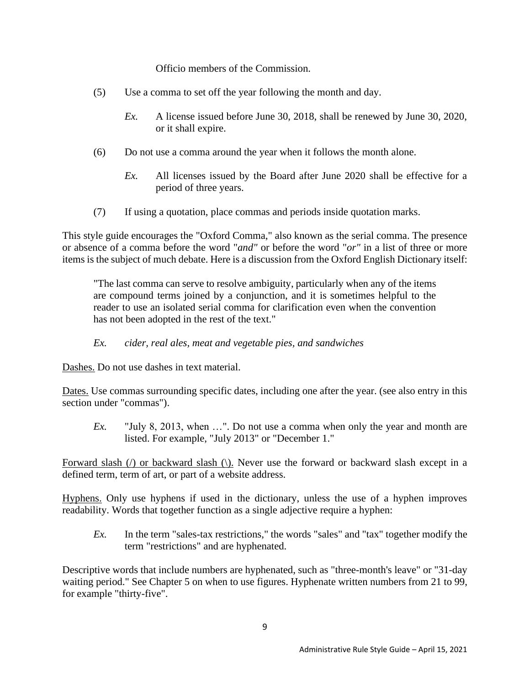Officio members of the Commission.

- (5) Use a comma to set off the year following the month and day.
	- *Ex.* A license issued before June 30, 2018, shall be renewed by June 30, 2020, or it shall expire.
- (6) Do not use a comma around the year when it follows the month alone.
	- *Ex.* All licenses issued by the Board after June 2020 shall be effective for a period of three years.
- (7) If using a quotation, place commas and periods inside quotation marks.

This style guide encourages the "Oxford Comma," also known as the serial comma. The presence or absence of a comma before the word "*and"* or before the word "*or"* in a list of three or more items is the subject of much debate. Here is a discussion from the Oxford English Dictionary itself:

"The last comma can serve to resolve ambiguity, particularly when any of the items are compound terms joined by a conjunction, and it is sometimes helpful to the reader to use an isolated serial comma for clarification even when the convention has not been adopted in the rest of the text."

# *Ex. cider, real ales, meat and vegetable pies, and sandwiches*

Dashes. Do not use dashes in text material.

Dates. Use commas surrounding specific dates, including one after the year. (see also entry in this section under "commas").

*Ex.* "July 8, 2013, when …". Do not use a comma when only the year and month are listed. For example, "July 2013" or "December 1."

Forward slash (*/*) or backward slash (*/*). Never use the forward or backward slash except in a defined term, term of art, or part of a website address.

Hyphens. Only use hyphens if used in the dictionary, unless the use of a hyphen improves readability. Words that together function as a single adjective require a hyphen:

*Ex.* In the term "sales-tax restrictions," the words "sales" and "tax" together modify the term "restrictions" and are hyphenated.

Descriptive words that include numbers are hyphenated, such as "three-month's leave" or "31-day waiting period." See Chapter 5 on when to use figures. Hyphenate written numbers from 21 to 99, for example "thirty-five".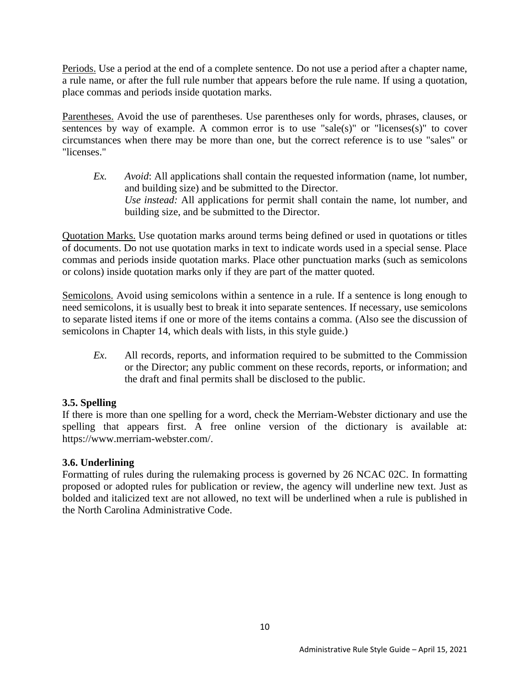Periods. Use a period at the end of a complete sentence. Do not use a period after a chapter name, a rule name, or after the full rule number that appears before the rule name. If using a quotation, place commas and periods inside quotation marks.

Parentheses. Avoid the use of parentheses. Use parentheses only for words, phrases, clauses, or sentences by way of example. A common error is to use "sale(s)" or "licenses(s)" to cover circumstances when there may be more than one, but the correct reference is to use "sales" or "licenses."

*Ex. Avoid*: All applications shall contain the requested information (name, lot number, and building size) and be submitted to the Director. *Use instead:* All applications for permit shall contain the name, lot number, and building size, and be submitted to the Director.

Quotation Marks. Use quotation marks around terms being defined or used in quotations or titles of documents. Do not use quotation marks in text to indicate words used in a special sense. Place commas and periods inside quotation marks. Place other punctuation marks (such as semicolons or colons) inside quotation marks only if they are part of the matter quoted.

Semicolons. Avoid using semicolons within a sentence in a rule. If a sentence is long enough to need semicolons, it is usually best to break it into separate sentences. If necessary, use semicolons to separate listed items if one or more of the items contains a comma. (Also see the discussion of semicolons in Chapter 14, which deals with lists, in this style guide.)

*Ex*. All records, reports, and information required to be submitted to the Commission or the Director; any public comment on these records, reports, or information; and the draft and final permits shall be disclosed to the public.

# <span id="page-15-0"></span>**3.5. Spelling**

If there is more than one spelling for a word, check the Merriam-Webster dictionary and use the spelling that appears first. A free online version of the dictionary is available at: https://www.merriam-webster.com/.

# <span id="page-15-1"></span>**3.6. Underlining**

Formatting of rules during the rulemaking process is governed by 26 NCAC 02C. In formatting proposed or adopted rules for publication or review, the agency will underline new text. Just as bolded and italicized text are not allowed, no text will be underlined when a rule is published in the North Carolina Administrative Code.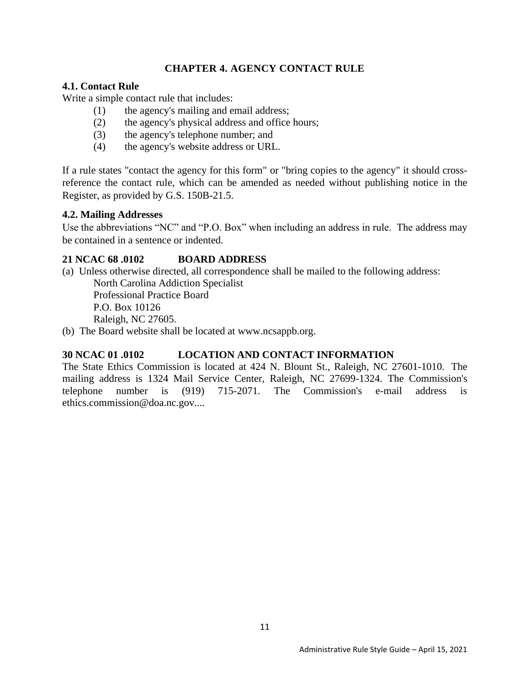# **CHAPTER 4. AGENCY CONTACT RULE**

#### <span id="page-16-1"></span><span id="page-16-0"></span>**4.1. Contact Rule**

Write a simple contact rule that includes:

- (1) the agency's mailing and email address;
- (2) the agency's physical address and office hours;
- (3) the agency's telephone number; and
- (4) the agency's website address or URL.

If a rule states "contact the agency for this form" or "bring copies to the agency" it should crossreference the contact rule, which can be amended as needed without publishing notice in the Register, as provided by G.S. 150B-21.5.

#### <span id="page-16-2"></span>**4.2. Mailing Addresses**

Use the abbreviations "NC" and "P.O. Box" when including an address in rule. The address may be contained in a sentence or indented.

# **21 NCAC 68 .0102 BOARD ADDRESS**

(a) Unless otherwise directed, all correspondence shall be mailed to the following address:

North Carolina Addiction Specialist Professional Practice Board P.O. Box 10126 Raleigh, NC 27605.

(b) The Board website shall be located at www.ncsappb.org.

# **30 NCAC 01 .0102 LOCATION AND CONTACT INFORMATION**

The State Ethics Commission is located at 424 N. Blount St., Raleigh, NC 27601-1010. The mailing address is 1324 Mail Service Center, Raleigh, NC 27699-1324. The Commission's telephone number is (919) 715-2071. The Commission's e-mail address is ethics.commission@doa.nc.gov....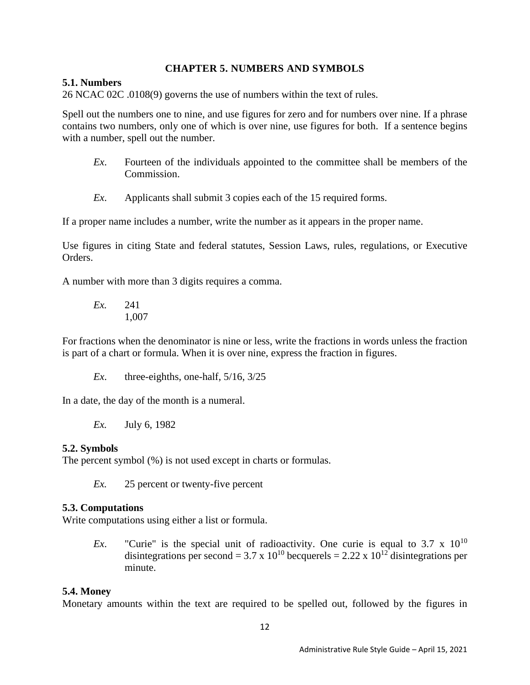#### **CHAPTER 5. NUMBERS AND SYMBOLS**

#### <span id="page-17-1"></span><span id="page-17-0"></span>**5.1. Numbers**

26 NCAC 02C .0108(9) governs the use of numbers within the text of rules.

Spell out the numbers one to nine, and use figures for zero and for numbers over nine. If a phrase contains two numbers, only one of which is over nine, use figures for both. If a sentence begins with a number, spell out the number.

- *Ex*. Fourteen of the individuals appointed to the committee shall be members of the Commission.
- *Ex*. Applicants shall submit 3 copies each of the 15 required forms.

If a proper name includes a number, write the number as it appears in the proper name.

Use figures in citing State and federal statutes, Session Laws, rules, regulations, or Executive Orders.

A number with more than 3 digits requires a comma.

*Ex.* 241 1,007

For fractions when the denominator is nine or less, write the fractions in words unless the fraction is part of a chart or formula. When it is over nine, express the fraction in figures.

*Ex*. three-eighths, one-half, 5/16, 3/25

In a date, the day of the month is a numeral.

*Ex.* July 6, 1982

#### <span id="page-17-2"></span>**5.2. Symbols**

The percent symbol (%) is not used except in charts or formulas.

*Ex.* 25 percent or twenty-five percent

#### <span id="page-17-3"></span>**5.3. Computations**

Write computations using either a list or formula.

*Ex.* "Curie" is the special unit of radioactivity. One curie is equal to 3.7 x 10<sup>10</sup> disintegrations per second = 3.7 x 10<sup>10</sup> becquerels = 2.22 x 10<sup>12</sup> disintegrations per minute.

#### <span id="page-17-4"></span>**5.4. Money**

Monetary amounts within the text are required to be spelled out, followed by the figures in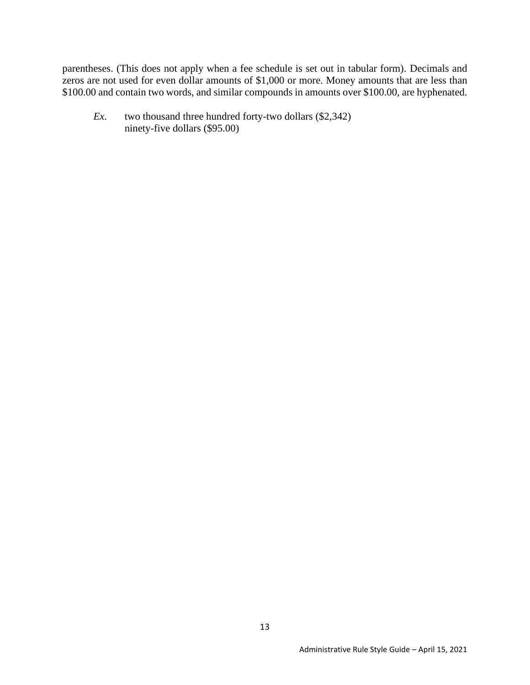parentheses. (This does not apply when a fee schedule is set out in tabular form). Decimals and zeros are not used for even dollar amounts of \$1,000 or more. Money amounts that are less than \$100.00 and contain two words, and similar compounds in amounts over \$100.00, are hyphenated.

*Ex*. two thousand three hundred forty-two dollars (\$2,342) ninety-five dollars (\$95.00)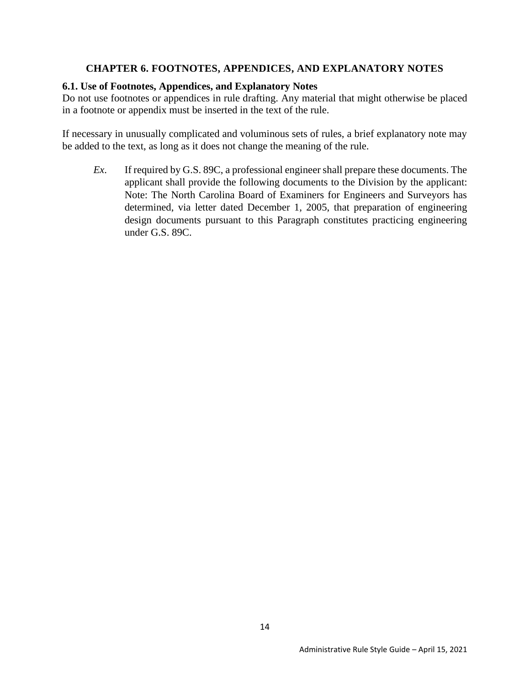## **CHAPTER 6. FOOTNOTES, APPENDICES, AND EXPLANATORY NOTES**

#### <span id="page-19-1"></span><span id="page-19-0"></span>**6.1. Use of Footnotes, Appendices, and Explanatory Notes**

Do not use footnotes or appendices in rule drafting. Any material that might otherwise be placed in a footnote or appendix must be inserted in the text of the rule.

If necessary in unusually complicated and voluminous sets of rules, a brief explanatory note may be added to the text, as long as it does not change the meaning of the rule.

*Ex*. If required by G.S. 89C, a professional engineer shall prepare these documents. The applicant shall provide the following documents to the Division by the applicant: Note: The North Carolina Board of Examiners for Engineers and Surveyors has determined, via letter dated December 1, 2005, that preparation of engineering design documents pursuant to this Paragraph constitutes practicing engineering under G.S. 89C.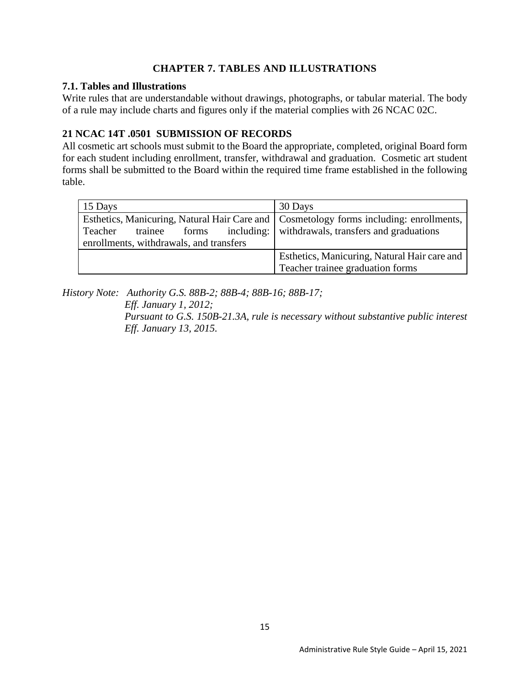# **CHAPTER 7. TABLES AND ILLUSTRATIONS**

#### <span id="page-20-1"></span><span id="page-20-0"></span>**7.1. Tables and Illustrations**

Write rules that are understandable without drawings, photographs, or tabular material. The body of a rule may include charts and figures only if the material complies with 26 NCAC 02C.

# **21 NCAC 14T .0501 SUBMISSION OF RECORDS**

All cosmetic art schools must submit to the Board the appropriate, completed, original Board form for each student including enrollment, transfer, withdrawal and graduation. Cosmetic art student forms shall be submitted to the Board within the required time frame established in the following table.

| 15 Days                                                                                  | 30 Days                                             |
|------------------------------------------------------------------------------------------|-----------------------------------------------------|
| Esthetics, Manicuring, Natural Hair Care and   Cosmetology forms including: enrollments, |                                                     |
| Teacher<br>trainee<br>forms                                                              | including:   withdrawals, transfers and graduations |
| enrollments, withdrawals, and transfers                                                  |                                                     |
|                                                                                          | Esthetics, Manicuring, Natural Hair care and        |
|                                                                                          | Teacher trainee graduation forms                    |

*History Note: Authority G.S. 88B-2; 88B-4; 88B-16; 88B-17;*

*Eff. January 1, 2012; Pursuant to G.S. 150B-21.3A, rule is necessary without substantive public interest Eff. January 13, 2015.*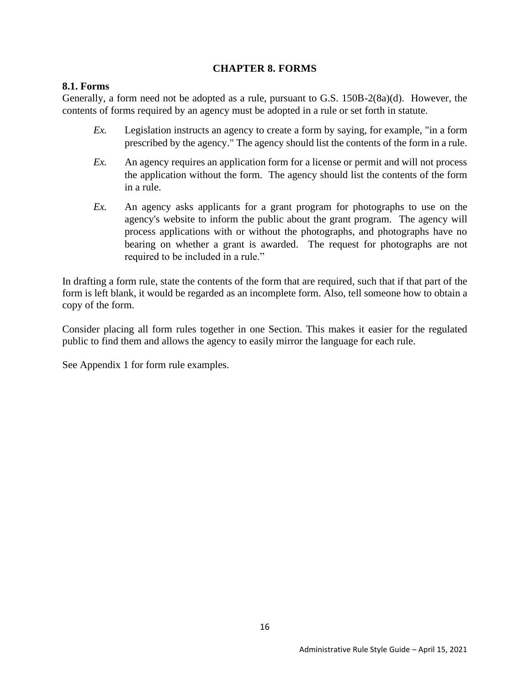#### **CHAPTER 8. FORMS**

#### <span id="page-21-1"></span><span id="page-21-0"></span>**8.1. Forms**

Generally, a form need not be adopted as a rule, pursuant to G.S. 150B-2(8a)(d). However, the contents of forms required by an agency must be adopted in a rule or set forth in statute.

- *Ex.* Legislation instructs an agency to create a form by saying, for example, "in a form prescribed by the agency." The agency should list the contents of the form in a rule.
- *Ex.* An agency requires an application form for a license or permit and will not process the application without the form. The agency should list the contents of the form in a rule.
- *Ex.* An agency asks applicants for a grant program for photographs to use on the agency's website to inform the public about the grant program. The agency will process applications with or without the photographs, and photographs have no bearing on whether a grant is awarded. The request for photographs are not required to be included in a rule."

In drafting a form rule, state the contents of the form that are required, such that if that part of the form is left blank, it would be regarded as an incomplete form. Also, tell someone how to obtain a copy of the form.

Consider placing all form rules together in one Section. This makes it easier for the regulated public to find them and allows the agency to easily mirror the language for each rule.

See Appendix 1 for form rule examples.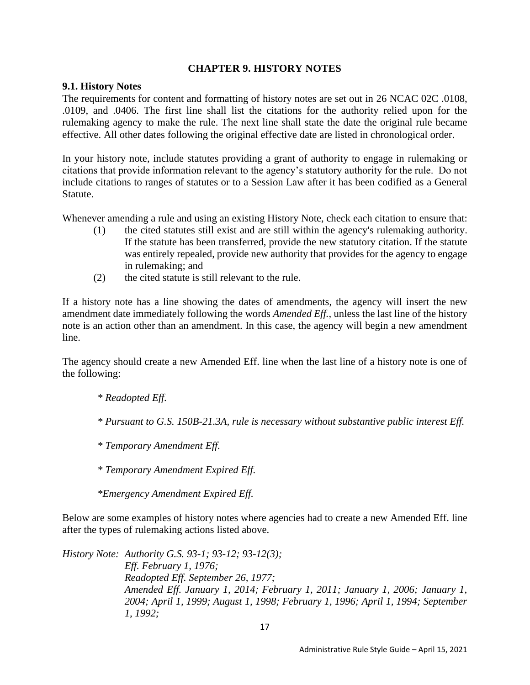#### **CHAPTER 9. HISTORY NOTES**

#### <span id="page-22-1"></span><span id="page-22-0"></span>**9.1. History Notes**

The requirements for content and formatting of history notes are set out in 26 NCAC 02C .0108, .0109, and .0406. The first line shall list the citations for the authority relied upon for the rulemaking agency to make the rule. The next line shall state the date the original rule became effective. All other dates following the original effective date are listed in chronological order.

In your history note, include statutes providing a grant of authority to engage in rulemaking or citations that provide information relevant to the agency's statutory authority for the rule. Do not include citations to ranges of statutes or to a Session Law after it has been codified as a General Statute.

Whenever amending a rule and using an existing History Note, check each citation to ensure that:

- (1) the cited statutes still exist and are still within the agency's rulemaking authority. If the statute has been transferred, provide the new statutory citation. If the statute was entirely repealed, provide new authority that provides for the agency to engage in rulemaking; and
- (2) the cited statute is still relevant to the rule.

If a history note has a line showing the dates of amendments, the agency will insert the new amendment date immediately following the words *Amended Eff.,* unless the last line of the history note is an action other than an amendment. In this case, the agency will begin a new amendment line.

The agency should create a new Amended Eff. line when the last line of a history note is one of the following:

*\* Readopted Eff.* 

*\* Pursuant to G.S. 150B-21.3A, rule is necessary without substantive public interest Eff.* 

*\* Temporary Amendment Eff.*

*\* Temporary Amendment Expired Eff.*

*\*Emergency Amendment Expired Eff.*

Below are some examples of history notes where agencies had to create a new Amended Eff. line after the types of rulemaking actions listed above.

*History Note: Authority G.S. 93-1; 93-12; 93-12(3); Eff. February 1, 1976; Readopted Eff. September 26, 1977; Amended Eff. January 1, 2014; February 1, 2011; January 1, 2006; January 1, 2004; April 1, 1999; August 1, 1998; February 1, 1996; April 1, 1994; September 1, 1992;*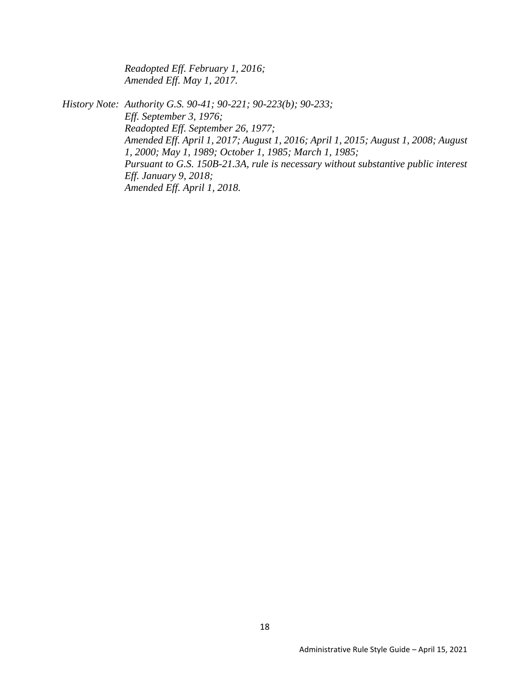*Readopted Eff. February 1, 2016; Amended Eff. May 1, 2017.* 

*History Note: Authority G.S. 90-41; 90-221; 90-223(b); 90-233; Eff. September 3, 1976; Readopted Eff. September 26, 1977; Amended Eff. April 1, 2017; August 1, 2016; April 1, 2015; August 1, 2008; August 1, 2000; May 1, 1989; October 1, 1985; March 1, 1985; Pursuant to G.S. 150B-21.3A, rule is necessary without substantive public interest Eff. January 9, 2018; Amended Eff. April 1, 2018.*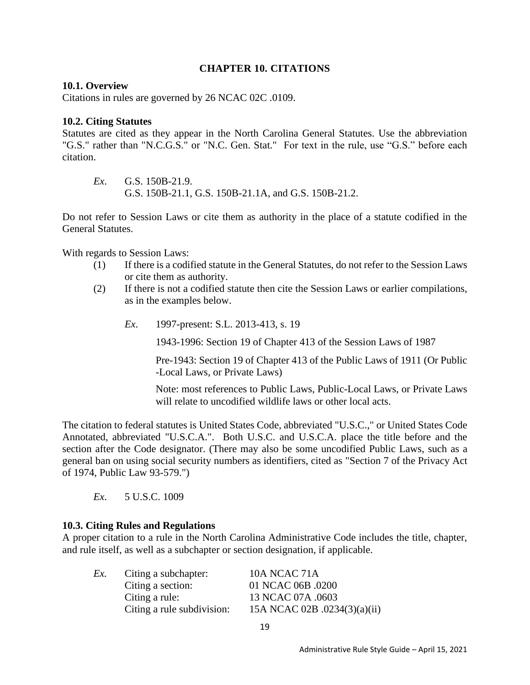# **CHAPTER 10. CITATIONS**

#### <span id="page-24-1"></span><span id="page-24-0"></span>**10.1. Overview**

Citations in rules are governed by 26 NCAC 02C .0109.

#### <span id="page-24-2"></span>**10.2. Citing Statutes**

Statutes are cited as they appear in the North Carolina General Statutes. Use the abbreviation "G.S." rather than "N.C.G.S." or "N.C. Gen. Stat." For text in the rule, use "G.S." before each citation.

*Ex*. G.S. 150B-21.9. G.S. 150B-21.1, G.S. 150B-21.1A, and G.S. 150B-21.2.

Do not refer to Session Laws or cite them as authority in the place of a statute codified in the General Statutes.

With regards to Session Laws:

- (1) If there is a codified statute in the General Statutes, do not refer to the Session Laws or cite them as authority.
- (2) If there is not a codified statute then cite the Session Laws or earlier compilations, as in the examples below.
	- *Ex*. 1997-present: S.L. 2013-413, s. 19

1943-1996: Section 19 of Chapter 413 of the Session Laws of 1987

Pre-1943: Section 19 of Chapter 413 of the Public Laws of 1911 (Or Public -Local Laws, or Private Laws)

Note: most references to Public Laws, Public-Local Laws, or Private Laws will relate to uncodified wildlife laws or other local acts.

The citation to federal statutes is United States Code, abbreviated "U.S.C.," or United States Code Annotated, abbreviated "U.S.C.A.". Both U.S.C. and U.S.C.A. place the title before and the section after the Code designator. (There may also be some uncodified Public Laws, such as a general ban on using social security numbers as identifiers, cited as "Section 7 of the Privacy Act of 1974, Public Law 93-579.")

*Ex*. 5 U.S.C. 1009

#### <span id="page-24-3"></span>**10.3. Citing Rules and Regulations**

A proper citation to a rule in the North Carolina Administrative Code includes the title, chapter, and rule itself, as well as a subchapter or section designation, if applicable.

| Ex. | Citing a subchapter:       | <b>10A NCAC 71A</b>          |
|-----|----------------------------|------------------------------|
|     | Citing a section:          | 01 NCAC 06B .0200            |
|     | Citing a rule:             | 13 NCAC 07A .0603            |
|     | Citing a rule subdivision: | 15A NCAC 02B .0234(3)(a)(ii) |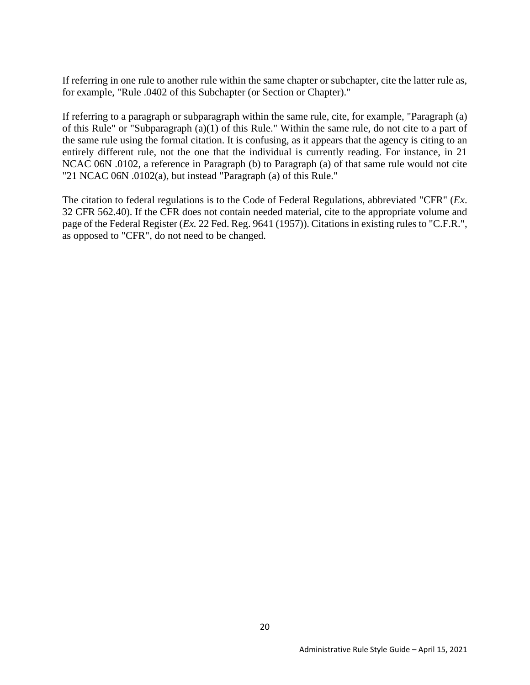If referring in one rule to another rule within the same chapter or subchapter, cite the latter rule as, for example, "Rule .0402 of this Subchapter (or Section or Chapter)."

If referring to a paragraph or subparagraph within the same rule, cite, for example, "Paragraph (a) of this Rule" or "Subparagraph (a)(1) of this Rule." Within the same rule, do not cite to a part of the same rule using the formal citation. It is confusing, as it appears that the agency is citing to an entirely different rule, not the one that the individual is currently reading. For instance, in 21 NCAC 06N .0102, a reference in Paragraph (b) to Paragraph (a) of that same rule would not cite "21 NCAC 06N .0102(a), but instead "Paragraph (a) of this Rule."

The citation to federal regulations is to the Code of Federal Regulations, abbreviated "CFR" (*Ex*. 32 CFR 562.40). If the CFR does not contain needed material, cite to the appropriate volume and page of the Federal Register (*Ex.* 22 Fed. Reg. 9641 (1957)). Citations in existing rules to "C.F.R.", as opposed to "CFR", do not need to be changed.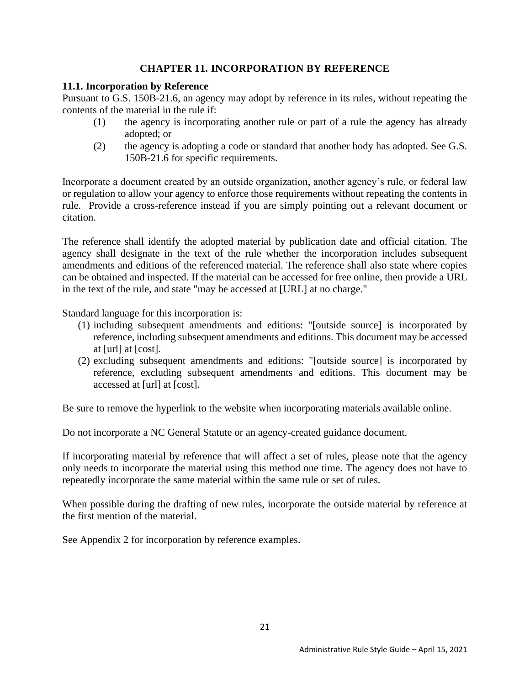# **CHAPTER 11. INCORPORATION BY REFERENCE**

## <span id="page-26-1"></span><span id="page-26-0"></span>**11.1. Incorporation by Reference**

Pursuant to G.S. 150B-21.6, an agency may adopt by reference in its rules, without repeating the contents of the material in the rule if:

- (1) the agency is incorporating another rule or part of a rule the agency has already adopted; or
- (2) the agency is adopting a code or standard that another body has adopted. See G.S. 150B-21.6 for specific requirements.

Incorporate a document created by an outside organization, another agency's rule, or federal law or regulation to allow your agency to enforce those requirements without repeating the contents in rule. Provide a cross-reference instead if you are simply pointing out a relevant document or citation.

The reference shall identify the adopted material by publication date and official citation. The agency shall designate in the text of the rule whether the incorporation includes subsequent amendments and editions of the referenced material. The reference shall also state where copies can be obtained and inspected. If the material can be accessed for free online, then provide a URL in the text of the rule, and state "may be accessed at [URL] at no charge."

Standard language for this incorporation is:

- (1) including subsequent amendments and editions: "[outside source] is incorporated by reference, including subsequent amendments and editions. This document may be accessed at [url] at [cost].
- (2) excluding subsequent amendments and editions: "[outside source] is incorporated by reference, excluding subsequent amendments and editions. This document may be accessed at [url] at [cost].

Be sure to remove the hyperlink to the website when incorporating materials available online.

Do not incorporate a NC General Statute or an agency-created guidance document.

If incorporating material by reference that will affect a set of rules, please note that the agency only needs to incorporate the material using this method one time. The agency does not have to repeatedly incorporate the same material within the same rule or set of rules.

When possible during the drafting of new rules, incorporate the outside material by reference at the first mention of the material.

See Appendix 2 for incorporation by reference examples.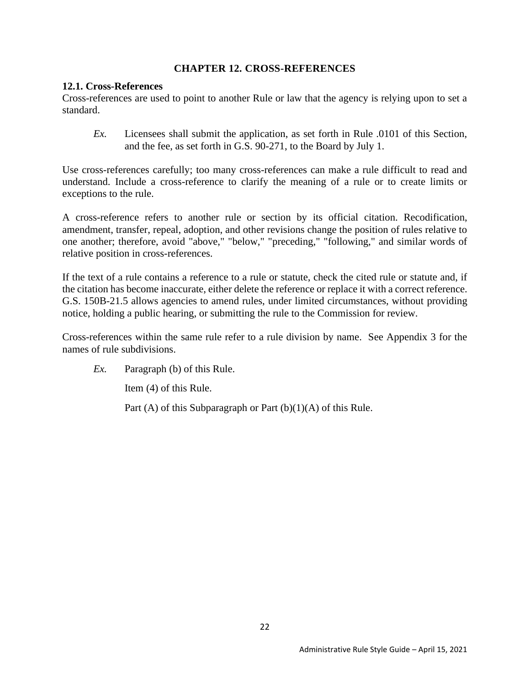#### **CHAPTER 12. CROSS-REFERENCES**

#### <span id="page-27-1"></span><span id="page-27-0"></span>**12.1. Cross-References**

Cross-references are used to point to another Rule or law that the agency is relying upon to set a standard.

*Ex.* Licensees shall submit the application, as set forth in Rule .0101 of this Section, and the fee, as set forth in G.S. 90-271, to the Board by July 1.

Use cross-references carefully; too many cross-references can make a rule difficult to read and understand. Include a cross-reference to clarify the meaning of a rule or to create limits or exceptions to the rule.

A cross-reference refers to another rule or section by its official citation. Recodification, amendment, transfer, repeal, adoption, and other revisions change the position of rules relative to one another; therefore, avoid "above," "below," "preceding," "following," and similar words of relative position in cross-references.

If the text of a rule contains a reference to a rule or statute, check the cited rule or statute and, if the citation has become inaccurate, either delete the reference or replace it with a correct reference. G.S. 150B-21.5 allows agencies to amend rules, under limited circumstances, without providing notice, holding a public hearing, or submitting the rule to the Commission for review.

Cross-references within the same rule refer to a rule division by name. See Appendix 3 for the names of rule subdivisions.

*Ex.* Paragraph (b) of this Rule.

Item (4) of this Rule.

Part  $(A)$  of this Subparagraph or Part  $(b)(1)(A)$  of this Rule.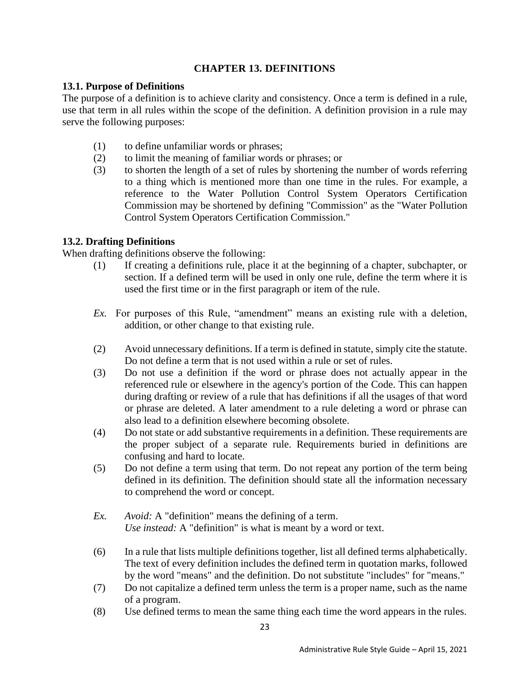# **CHAPTER 13. DEFINITIONS**

## <span id="page-28-1"></span><span id="page-28-0"></span>**13.1. Purpose of Definitions**

The purpose of a definition is to achieve clarity and consistency. Once a term is defined in a rule, use that term in all rules within the scope of the definition. A definition provision in a rule may serve the following purposes:

- (1) to define unfamiliar words or phrases;
- (2) to limit the meaning of familiar words or phrases; or
- (3) to shorten the length of a set of rules by shortening the number of words referring to a thing which is mentioned more than one time in the rules. For example, a reference to the Water Pollution Control System Operators Certification Commission may be shortened by defining "Commission" as the "Water Pollution Control System Operators Certification Commission."

# <span id="page-28-2"></span>**13.2. Drafting Definitions**

When drafting definitions observe the following:

- (1) If creating a definitions rule, place it at the beginning of a chapter, subchapter, or section. If a defined term will be used in only one rule, define the term where it is used the first time or in the first paragraph or item of the rule.
- *Ex.* For purposes of this Rule, "amendment" means an existing rule with a deletion, addition, or other change to that existing rule.
- (2) Avoid unnecessary definitions. If a term is defined in statute, simply cite the statute. Do not define a term that is not used within a rule or set of rules.
- (3) Do not use a definition if the word or phrase does not actually appear in the referenced rule or elsewhere in the agency's portion of the Code. This can happen during drafting or review of a rule that has definitions if all the usages of that word or phrase are deleted. A later amendment to a rule deleting a word or phrase can also lead to a definition elsewhere becoming obsolete.
- (4) Do not state or add substantive requirements in a definition. These requirements are the proper subject of a separate rule. Requirements buried in definitions are confusing and hard to locate.
- (5) Do not define a term using that term. Do not repeat any portion of the term being defined in its definition. The definition should state all the information necessary to comprehend the word or concept.
- *Ex. Avoid:* A "definition" means the defining of a term. *Use instead:* A "definition" is what is meant by a word or text.
- (6) In a rule that lists multiple definitions together, list all defined terms alphabetically. The text of every definition includes the defined term in quotation marks, followed by the word "means" and the definition. Do not substitute "includes" for "means."
- (7) Do not capitalize a defined term unless the term is a proper name, such as the name of a program.
- (8) Use defined terms to mean the same thing each time the word appears in the rules.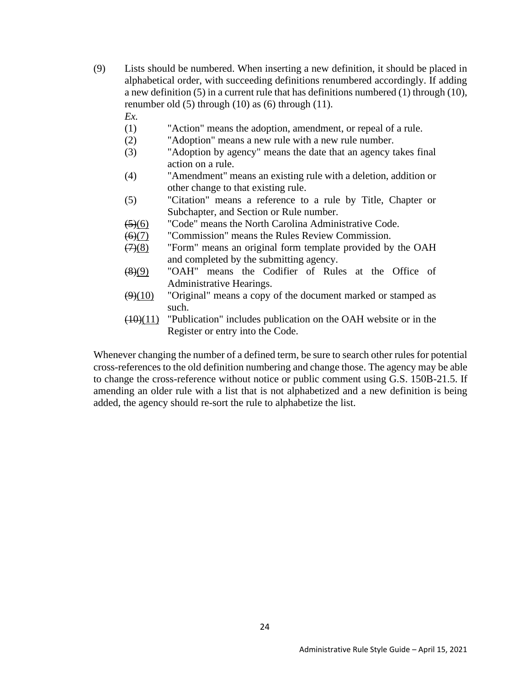(9) Lists should be numbered. When inserting a new definition, it should be placed in alphabetical order, with succeeding definitions renumbered accordingly. If adding a new definition (5) in a current rule that has definitions numbered (1) through (10), renumber old (5) through (10) as (6) through (11).

*Ex.*

- (1) "Action" means the adoption, amendment, or repeal of a rule.
- (2) "Adoption" means a new rule with a new rule number.
- (3) "Adoption by agency" means the date that an agency takes final action on a rule.
- (4) "Amendment" means an existing rule with a deletion, addition or other change to that existing rule.
- (5) "Citation" means a reference to a rule by Title, Chapter or Subchapter, and Section or Rule number.
- (5)(6) "Code" means the North Carolina Administrative Code.
- (6)(7) "Commission" means the Rules Review Commission.
- (7)(8) "Form" means an original form template provided by the OAH and completed by the submitting agency.
- (8)(9) "OAH" means the Codifier of Rules at the Office of Administrative Hearings.
- $(9)(10)$  "Original" means a copy of the document marked or stamped as such.
- $(10)(11)$  "Publication" includes publication on the OAH website or in the Register or entry into the Code.

Whenever changing the number of a defined term, be sure to search other rules for potential cross-references to the old definition numbering and change those. The agency may be able to change the cross-reference without notice or public comment using G.S. 150B-21.5. If amending an older rule with a list that is not alphabetized and a new definition is being added, the agency should re-sort the rule to alphabetize the list.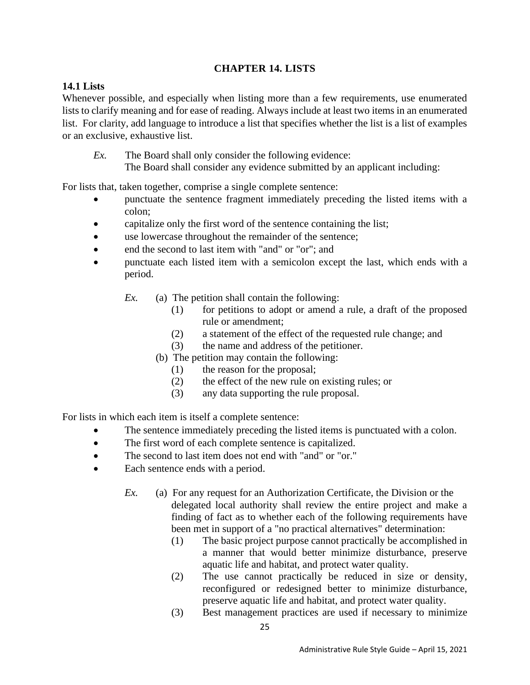# **CHAPTER 14. LISTS**

# <span id="page-30-1"></span><span id="page-30-0"></span>**14.1 Lists**

Whenever possible, and especially when listing more than a few requirements, use enumerated lists to clarify meaning and for ease of reading. Always include at least two items in an enumerated list. For clarity, add language to introduce a list that specifies whether the list is a list of examples or an exclusive, exhaustive list.

*Ex.* The Board shall only consider the following evidence: The Board shall consider any evidence submitted by an applicant including:

For lists that, taken together, comprise a single complete sentence:

- punctuate the sentence fragment immediately preceding the listed items with a colon;
- capitalize only the first word of the sentence containing the list;
- use lowercase throughout the remainder of the sentence;
- end the second to last item with "and" or "or"; and
- punctuate each listed item with a semicolon except the last, which ends with a period.
	- *Ex.* (a) The petition shall contain the following:
		- (1) for petitions to adopt or amend a rule, a draft of the proposed rule or amendment;
		- (2) a statement of the effect of the requested rule change; and
		- (3) the name and address of the petitioner.
		- (b) The petition may contain the following:
			- (1) the reason for the proposal;
			- (2) the effect of the new rule on existing rules; or
			- (3) any data supporting the rule proposal.

For lists in which each item is itself a complete sentence:

- The sentence immediately preceding the listed items is punctuated with a colon.
- The first word of each complete sentence is capitalized.
- The second to last item does not end with "and" or "or."
- Each sentence ends with a period.
	- *Ex.* (a) For any request for an Authorization Certificate, the Division or the delegated local authority shall review the entire project and make a finding of fact as to whether each of the following requirements have been met in support of a "no practical alternatives" determination:
		- (1) The basic project purpose cannot practically be accomplished in a manner that would better minimize disturbance, preserve aquatic life and habitat, and protect water quality.
		- (2) The use cannot practically be reduced in size or density, reconfigured or redesigned better to minimize disturbance, preserve aquatic life and habitat, and protect water quality.
		- (3) Best management practices are used if necessary to minimize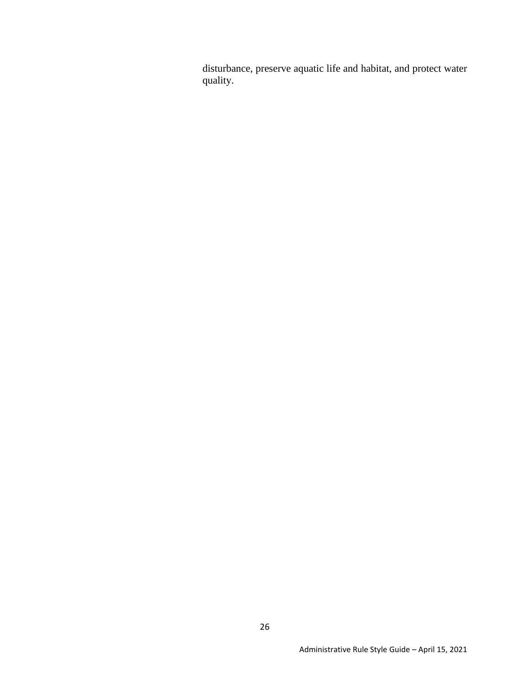disturbance, preserve aquatic life and habitat, and protect water quality.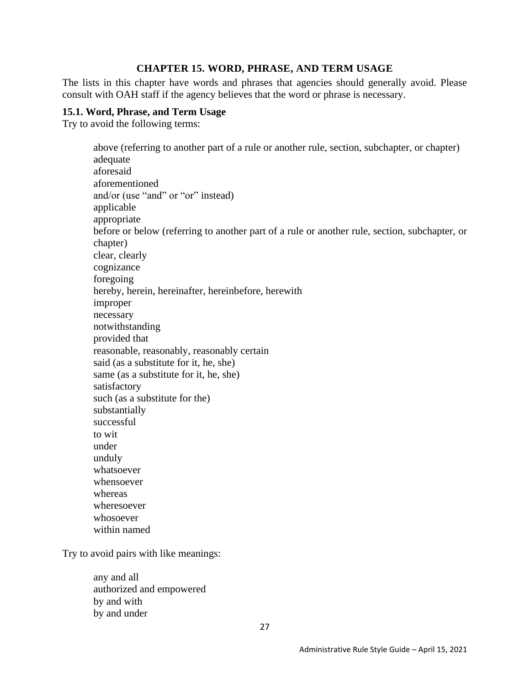#### **CHAPTER 15. WORD, PHRASE, AND TERM USAGE**

<span id="page-32-0"></span>The lists in this chapter have words and phrases that agencies should generally avoid. Please consult with OAH staff if the agency believes that the word or phrase is necessary.

#### <span id="page-32-1"></span>**15.1. Word, Phrase, and Term Usage**

Try to avoid the following terms:

above (referring to another part of a rule or another rule, section, subchapter, or chapter) adequate aforesaid aforementioned and/or (use "and" or "or" instead) applicable appropriate before or below (referring to another part of a rule or another rule, section, subchapter, or chapter) clear, clearly cognizance foregoing hereby, herein, hereinafter, hereinbefore, herewith improper necessary notwithstanding provided that reasonable, reasonably, reasonably certain said (as a substitute for it, he, she) same (as a substitute for it, he, she) satisfactory such (as a substitute for the) substantially successful to wit under unduly whatsoever whensoever whereas wheresoever whosoever

Try to avoid pairs with like meanings:

within named

any and all authorized and empowered by and with by and under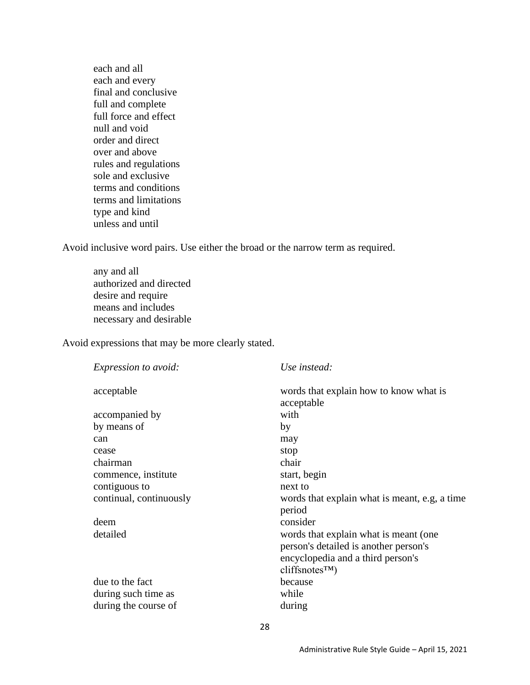each and all each and every final and conclusive full and complete full force and effect null and void order and direct over and above rules and regulations sole and exclusive terms and conditions terms and limitations type and kind unless and until

Avoid inclusive word pairs. Use either the broad or the narrow term as required.

any and all authorized and directed desire and require means and includes necessary and desirable

Avoid expressions that may be more clearly stated.

| words that explain how to know what is<br>acceptable<br>acceptable<br>with<br>accompanied by<br>by means of<br>by<br>may<br>can<br>stop<br>cease<br>chairman<br>chair<br>commence, institute<br>start, begin<br>contiguous to<br>next to<br>continual, continuously<br>words that explain what is meant, e.g. a time<br>period<br>consider<br>deem<br>detailed<br>words that explain what is meant (one) |
|----------------------------------------------------------------------------------------------------------------------------------------------------------------------------------------------------------------------------------------------------------------------------------------------------------------------------------------------------------------------------------------------------------|
|                                                                                                                                                                                                                                                                                                                                                                                                          |
|                                                                                                                                                                                                                                                                                                                                                                                                          |
|                                                                                                                                                                                                                                                                                                                                                                                                          |
|                                                                                                                                                                                                                                                                                                                                                                                                          |
|                                                                                                                                                                                                                                                                                                                                                                                                          |
|                                                                                                                                                                                                                                                                                                                                                                                                          |
|                                                                                                                                                                                                                                                                                                                                                                                                          |
|                                                                                                                                                                                                                                                                                                                                                                                                          |
|                                                                                                                                                                                                                                                                                                                                                                                                          |
|                                                                                                                                                                                                                                                                                                                                                                                                          |
| person's detailed is another person's<br>encyclopedia and a third person's<br>cliffsnotes <sup>TM</sup>                                                                                                                                                                                                                                                                                                  |
| due to the fact<br>because                                                                                                                                                                                                                                                                                                                                                                               |
| while<br>during such time as                                                                                                                                                                                                                                                                                                                                                                             |
| during the course of<br>during                                                                                                                                                                                                                                                                                                                                                                           |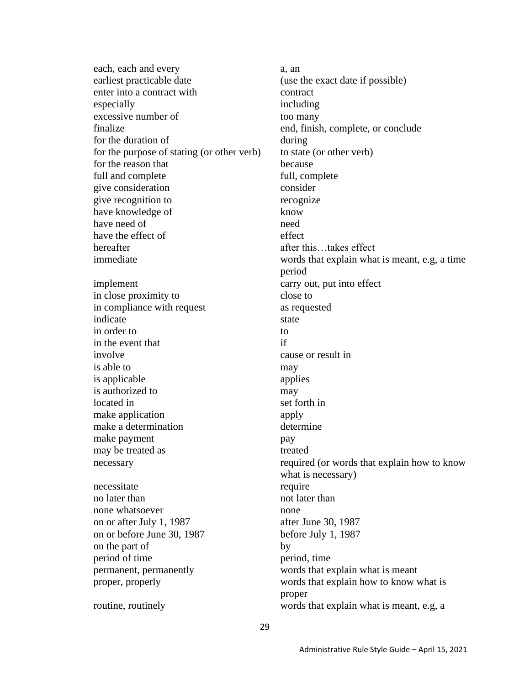each, each and every a, an earliest practicable date (use the exact date if possible) enter into a contract with contract especially including excessive number of too many finalize end, finish, complete, or conclude for the duration of during for the purpose of stating (or other verb) to state (or other verb) for the reason that because full and complete full, complete give consideration consider give recognition to recognize have knowledge of know have need of need need have the effect of effect hereafter after this…takes effect implement carry out, put into effect in close proximity to close to in compliance with request as requested indicate state state in order to to in the event that if involve cause or result in is able to may is applicable applies is authorized to may located in set forth in make application apply make a determination determine make payment pay may be treated as treated as treated as the treated as the streated of the streated streated as the streated stream of the stream of the stream of the stream of the stream of the stream of the stream of the stream of the s necessitate require no later than not later than none whatsoever none on or after July 1, 1987 after June 30, 1987 on or before June 30, 1987 before July 1, 1987 on the part of by period of time period, time permanent, permanently words that explain what is meant proper, properly words that explain how to know what is

immediate words that explain what is meant, e.g, a time period necessary required (or words that explain how to know what is necessary) proper routine, routinely words that explain what is meant, e.g, a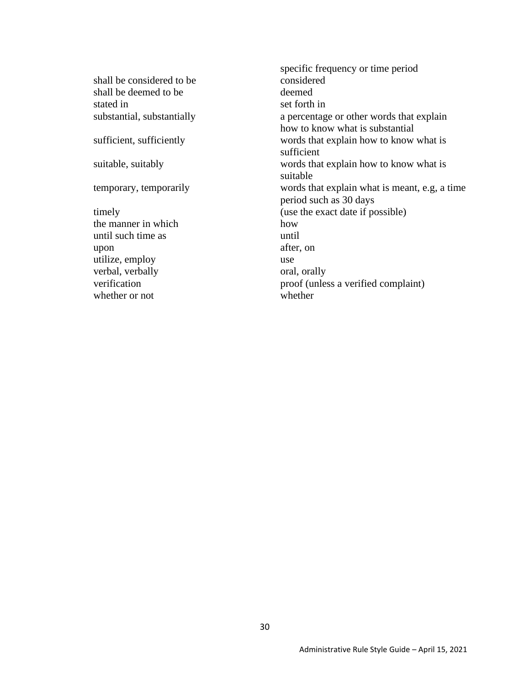shall be considered to be considered shall be deemed to be deemed stated in set forth in

the manner in which how how until such time as until upon after, on utilize, employ use verbal, verbally oral, orally whether or not whether

specific frequency or time period substantial, substantially a percentage or other words that explain how to know what is substantial sufficient, sufficiently words that explain how to know what is sufficient suitable, suitably words that explain how to know what is suitable temporary, temporarily words that explain what is meant, e.g, a time period such as 30 days timely (use the exact date if possible) verification proof (unless a verified complaint)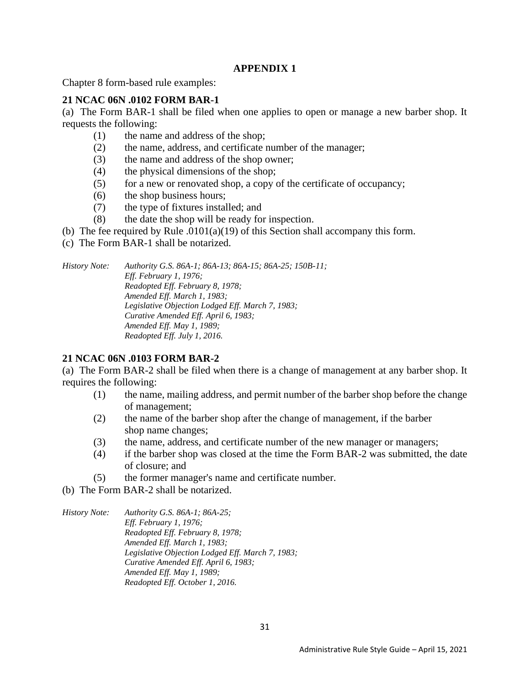# **APPENDIX 1**

<span id="page-36-0"></span>Chapter 8 form-based rule examples:

# **21 NCAC 06N .0102 FORM BAR-1**

(a) The Form BAR-1 shall be filed when one applies to open or manage a new barber shop. It requests the following:

- (1) the name and address of the shop;
- (2) the name, address, and certificate number of the manager;
- (3) the name and address of the shop owner;
- (4) the physical dimensions of the shop;
- (5) for a new or renovated shop, a copy of the certificate of occupancy;
- (6) the shop business hours;
- (7) the type of fixtures installed; and
- (8) the date the shop will be ready for inspection.
- (b) The fee required by Rule .0101(a)(19) of this Section shall accompany this form.
- (c) The Form BAR-1 shall be notarized.

*History Note: Authority G.S. 86A-1; 86A-13; 86A-15; 86A-25; 150B-11; Eff. February 1, 1976; Readopted Eff. February 8, 1978; Amended Eff. March 1, 1983; Legislative Objection Lodged Eff. March 7, 1983; Curative Amended Eff. April 6, 1983; Amended Eff. May 1, 1989; Readopted Eff. July 1, 2016.*

#### **21 NCAC 06N .0103 FORM BAR-2**

(a) The Form BAR-2 shall be filed when there is a change of management at any barber shop. It requires the following:

- (1) the name, mailing address, and permit number of the barber shop before the change of management;
- (2) the name of the barber shop after the change of management, if the barber shop name changes;
- (3) the name, address, and certificate number of the new manager or managers;
- (4) if the barber shop was closed at the time the Form BAR-2 was submitted, the date of closure; and
- (5) the former manager's name and certificate number.
- (b) The Form BAR-2 shall be notarized.
- *History Note: Authority G.S. 86A-1; 86A-25; Eff. February 1, 1976; Readopted Eff. February 8, 1978; Amended Eff. March 1, 1983; Legislative Objection Lodged Eff. March 7, 1983; Curative Amended Eff. April 6, 1983; Amended Eff. May 1, 1989; Readopted Eff. October 1, 2016.*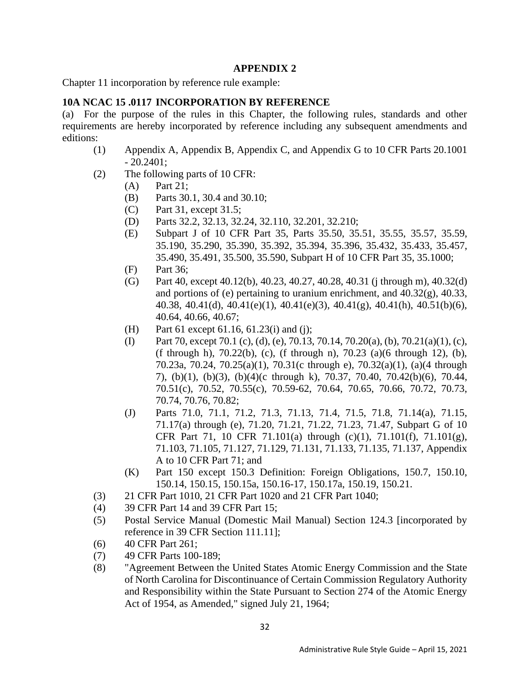#### **APPENDIX 2**

<span id="page-37-0"></span>Chapter 11 incorporation by reference rule example:

## **10A NCAC 15 .0117 INCORPORATION BY REFERENCE**

(a) For the purpose of the rules in this Chapter, the following rules, standards and other requirements are hereby incorporated by reference including any subsequent amendments and editions:

- (1) Appendix A, Appendix B, Appendix C, and Appendix G to 10 CFR Parts 20.1001 - 20.2401;
- (2) The following parts of 10 CFR:
	- (A) Part 21;
	- (B) Parts 30.1, 30.4 and 30.10;
	- (C) Part 31, except 31.5;
	- (D) Parts 32.2, 32.13, 32.24, 32.110, 32.201, 32.210;
	- (E) Subpart J of 10 CFR Part 35, Parts 35.50, 35.51, 35.55, 35.57, 35.59, 35.190, 35.290, 35.390, 35.392, 35.394, 35.396, 35.432, 35.433, 35.457, 35.490, 35.491, 35.500, 35.590, Subpart H of 10 CFR Part 35, 35.1000;
	- (F) Part 36;
	- (G) Part 40, except 40.12(b), 40.23, 40.27, 40.28, 40.31 (j through m), 40.32(d) and portions of (e) pertaining to uranium enrichment, and 40.32(g), 40.33, 40.38, 40.41(d), 40.41(e)(1), 40.41(e)(3), 40.41(g), 40.41(h), 40.51(b)(6), 40.64, 40.66, 40.67;
	- (H) Part 61 except 61.16, 61.23(i) and (j);
	- (I) Part 70, except 70.1 (c), (d), (e), 70.13, 70.14, 70.20(a), (b), 70.21(a)(1), (c), (f through h), 70.22(b), (c), (f through n), 70.23 (a)(6 through 12), (b), 70.23a, 70.24, 70.25(a)(1), 70.31(c through e), 70.32(a)(1), (a)(4 through 7), (b)(1), (b)(3), (b)(4)(c through k), 70.37, 70.40, 70.42(b)(6), 70.44, 70.51(c), 70.52, 70.55(c), 70.59-62, 70.64, 70.65, 70.66, 70.72, 70.73, 70.74, 70.76, 70.82;
	- (J) Parts 71.0, 71.1, 71.2, 71.3, 71.13, 71.4, 71.5, 71.8, 71.14(a), 71.15, 71.17(a) through (e), 71.20, 71.21, 71.22, 71.23, 71.47, Subpart G of 10 CFR Part 71, 10 CFR 71.101(a) through (c)(1), 71.101(f), 71.101(g), 71.103, 71.105, 71.127, 71.129, 71.131, 71.133, 71.135, 71.137, Appendix A to 10 CFR Part 71; and
	- (K) Part 150 except 150.3 Definition: Foreign Obligations, 150.7, 150.10, 150.14, 150.15, 150.15a, 150.16-17, 150.17a, 150.19, 150.21.
- (3) 21 CFR Part 1010, 21 CFR Part 1020 and 21 CFR Part 1040;
- (4) 39 CFR Part 14 and 39 CFR Part 15;
- (5) Postal Service Manual (Domestic Mail Manual) Section 124.3 [incorporated by reference in 39 CFR Section 111.11];
- (6) 40 CFR Part 261;
- (7) 49 CFR Parts 100-189;
- (8) "Agreement Between the United States Atomic Energy Commission and the State of North Carolina for Discontinuance of Certain Commission Regulatory Authority and Responsibility within the State Pursuant to Section 274 of the Atomic Energy Act of 1954, as Amended," signed July 21, 1964;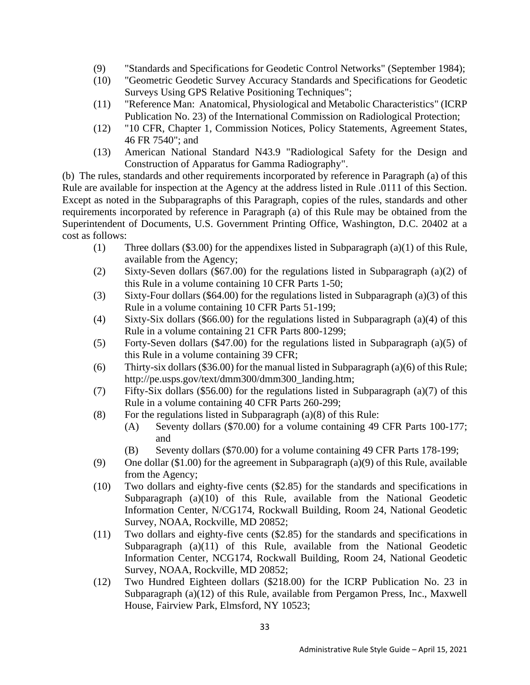- (9) "Standards and Specifications for Geodetic Control Networks" (September 1984);
- (10) "Geometric Geodetic Survey Accuracy Standards and Specifications for Geodetic Surveys Using GPS Relative Positioning Techniques";
- (11) "Reference Man: Anatomical, Physiological and Metabolic Characteristics" (ICRP Publication No. 23) of the International Commission on Radiological Protection;
- (12) "10 CFR, Chapter 1, Commission Notices, Policy Statements, Agreement States, 46 FR 7540"; and
- (13) American National Standard N43.9 "Radiological Safety for the Design and Construction of Apparatus for Gamma Radiography".

(b) The rules, standards and other requirements incorporated by reference in Paragraph (a) of this Rule are available for inspection at the Agency at the address listed in Rule .0111 of this Section. Except as noted in the Subparagraphs of this Paragraph, copies of the rules, standards and other requirements incorporated by reference in Paragraph (a) of this Rule may be obtained from the Superintendent of Documents, U.S. Government Printing Office, Washington, D.C. 20402 at a cost as follows:

- (1) Three dollars (\$3.00) for the appendixes listed in Subparagraph (a)(1) of this Rule, available from the Agency;
- (2) Sixty-Seven dollars (\$67.00) for the regulations listed in Subparagraph (a)(2) of this Rule in a volume containing 10 CFR Parts 1-50;
- (3) Sixty-Four dollars (\$64.00) for the regulations listed in Subparagraph (a)(3) of this Rule in a volume containing 10 CFR Parts 51-199;
- (4) Sixty-Six dollars (\$66.00) for the regulations listed in Subparagraph (a)(4) of this Rule in a volume containing 21 CFR Parts 800-1299;
- (5) Forty-Seven dollars (\$47.00) for the regulations listed in Subparagraph (a)(5) of this Rule in a volume containing 39 CFR;
- (6) Thirty-six dollars (\$36.00) for the manual listed in Subparagraph (a)(6) of this Rule; http://pe.usps.gov/text/dmm300/dmm300\_landing.htm;
- (7) Fifty-Six dollars (\$56.00) for the regulations listed in Subparagraph (a)(7) of this Rule in a volume containing 40 CFR Parts 260-299;
- (8) For the regulations listed in Subparagraph (a) $(8)$  of this Rule:
	- (A) Seventy dollars (\$70.00) for a volume containing 49 CFR Parts 100-177; and
	- (B) Seventy dollars (\$70.00) for a volume containing 49 CFR Parts 178-199;
- (9) One dollar (\$1.00) for the agreement in Subparagraph (a)(9) of this Rule, available from the Agency;
- (10) Two dollars and eighty-five cents (\$2.85) for the standards and specifications in Subparagraph (a)(10) of this Rule, available from the National Geodetic Information Center, N/CG174, Rockwall Building, Room 24, National Geodetic Survey, NOAA, Rockville, MD 20852;
- (11) Two dollars and eighty-five cents (\$2.85) for the standards and specifications in Subparagraph (a)(11) of this Rule, available from the National Geodetic Information Center, NCG174, Rockwall Building, Room 24, National Geodetic Survey, NOAA, Rockville, MD 20852;
- (12) Two Hundred Eighteen dollars (\$218.00) for the ICRP Publication No. 23 in Subparagraph (a)(12) of this Rule, available from Pergamon Press, Inc., Maxwell House, Fairview Park, Elmsford, NY 10523;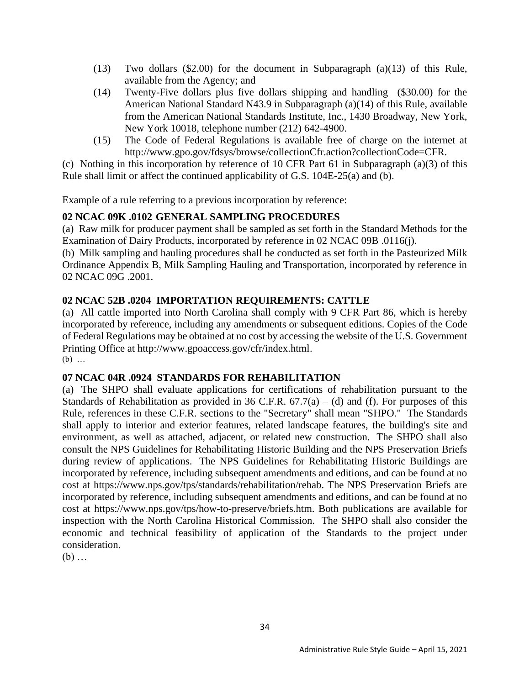- (13) Two dollars (\$2.00) for the document in Subparagraph (a)(13) of this Rule, available from the Agency; and
- (14) Twenty-Five dollars plus five dollars shipping and handling (\$30.00) for the American National Standard N43.9 in Subparagraph (a)(14) of this Rule, available from the American National Standards Institute, Inc., 1430 Broadway, New York, New York 10018, telephone number (212) 642-4900.
- (15) The Code of Federal Regulations is available free of charge on the internet at http://www.gpo.gov/fdsys/browse/collectionCfr.action?collectionCode=CFR.

(c) Nothing in this incorporation by reference of 10 CFR Part 61 in Subparagraph (a)(3) of this Rule shall limit or affect the continued applicability of G.S. 104E-25(a) and (b).

Example of a rule referring to a previous incorporation by reference:

# **02 NCAC 09K .0102 GENERAL SAMPLING PROCEDURES**

(a) Raw milk for producer payment shall be sampled as set forth in the Standard Methods for the Examination of Dairy Products, incorporated by reference in 02 NCAC 09B .0116(j).

(b) Milk sampling and hauling procedures shall be conducted as set forth in the Pasteurized Milk Ordinance Appendix B, Milk Sampling Hauling and Transportation, incorporated by reference in 02 NCAC 09G .2001.

# **02 NCAC 52B .0204 IMPORTATION REQUIREMENTS: CATTLE**

(a) All cattle imported into North Carolina shall comply with 9 CFR Part 86, which is hereby incorporated by reference, including any amendments or subsequent editions. Copies of the Code of Federal Regulations may be obtained at no cost by accessing the website of the U.S. Government Printing Office at [http://www.gpoaccess.gov/cfr/index.html.](http://www.gpoaccess.gov/cfr/index.html) (b) …

# **07 NCAC 04R .0924 STANDARDS FOR REHABILITATION**

(a) The SHPO shall evaluate applications for certifications of rehabilitation pursuant to the Standards of Rehabilitation as provided in 36 C.F.R.  $67.7(a) - (d)$  and (f). For purposes of this Rule, references in these C.F.R. sections to the "Secretary" shall mean "SHPO." The Standards shall apply to interior and exterior features, related landscape features, the building's site and environment, as well as attached, adjacent, or related new construction. The SHPO shall also consult the NPS Guidelines for Rehabilitating Historic Building and the NPS Preservation Briefs during review of applications. The NPS Guidelines for Rehabilitating Historic Buildings are incorporated by reference, including subsequent amendments and editions, and can be found at no cost at https://www.nps.gov/tps/standards/rehabilitation/rehab. The NPS Preservation Briefs are incorporated by reference, including subsequent amendments and editions, and can be found at no cost at https://www.nps.gov/tps/how-to-preserve/briefs.htm. Both publications are available for inspection with the North Carolina Historical Commission. The SHPO shall also consider the economic and technical feasibility of application of the Standards to the project under consideration.

(b) …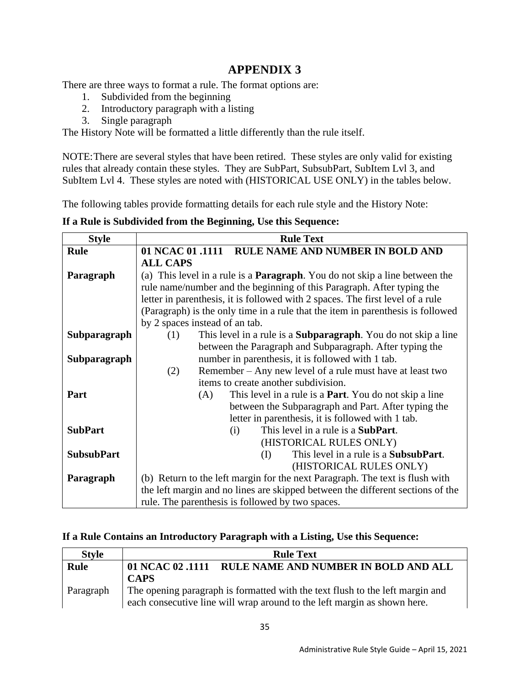# **APPENDIX 3**

<span id="page-40-0"></span>There are three ways to format a rule. The format options are:

- 1. Subdivided from the beginning
- 2. Introductory paragraph with a listing
- 3. Single paragraph

The History Note will be formatted a little differently than the rule itself.

NOTE:There are several styles that have been retired. These styles are only valid for existing rules that already contain these styles. They are SubPart, SubsubPart, SubItem Lvl 3, and SubItem Lvl 4. These styles are noted with (HISTORICAL USE ONLY) in the tables below.

The following tables provide formatting details for each rule style and the History Note:

**If a Rule is Subdivided from the Beginning, Use this Sequence:**

| <b>Style</b>      | <b>Rule Text</b>                                                                    |  |
|-------------------|-------------------------------------------------------------------------------------|--|
| <b>Rule</b>       | 01 NCAC 01 .1111 RULE NAME AND NUMBER IN BOLD AND                                   |  |
|                   | <b>ALL CAPS</b>                                                                     |  |
| Paragraph         | (a) This level in a rule is a <b>Paragraph</b> . You do not skip a line between the |  |
|                   | rule name/number and the beginning of this Paragraph. After typing the              |  |
|                   | letter in parenthesis, it is followed with 2 spaces. The first level of a rule      |  |
|                   | (Paragraph) is the only time in a rule that the item in parenthesis is followed     |  |
|                   | by 2 spaces instead of an tab.                                                      |  |
| Subparagraph      | This level in a rule is a <b>Subparagraph</b> . You do not skip a line<br>(1)       |  |
|                   | between the Paragraph and Subparagraph. After typing the                            |  |
| Subparagraph      | number in parenthesis, it is followed with 1 tab.                                   |  |
|                   | Remember – Any new level of a rule must have at least two<br>(2)                    |  |
|                   | items to create another subdivision.                                                |  |
| Part              | This level in a rule is a <b>Part</b> . You do not skip a line<br>(A)               |  |
|                   | between the Subparagraph and Part. After typing the                                 |  |
|                   | letter in parenthesis, it is followed with 1 tab.                                   |  |
| <b>SubPart</b>    | This level in a rule is a <b>SubPart</b> .<br>(i)                                   |  |
|                   | (HISTORICAL RULES ONLY)                                                             |  |
| <b>SubsubPart</b> | This level in a rule is a <b>SubsubPart</b> .<br>(I)                                |  |
|                   | (HISTORICAL RULES ONLY)                                                             |  |
| Paragraph         | (b) Return to the left margin for the next Paragraph. The text is flush with        |  |
|                   | the left margin and no lines are skipped between the different sections of the      |  |
|                   | rule. The parenthesis is followed by two spaces.                                    |  |

#### **If a Rule Contains an Introductory Paragraph with a Listing, Use this Sequence:**

| <b>Style</b> | <b>Rule Text</b>                                                              |  |
|--------------|-------------------------------------------------------------------------------|--|
| <b>Rule</b>  | RULE NAME AND NUMBER IN BOLD AND ALL<br>01 NCAC 02 .1111                      |  |
|              | <b>CAPS</b>                                                                   |  |
| Paragraph    | The opening paragraph is formatted with the text flush to the left margin and |  |
|              | each consecutive line will wrap around to the left margin as shown here.      |  |